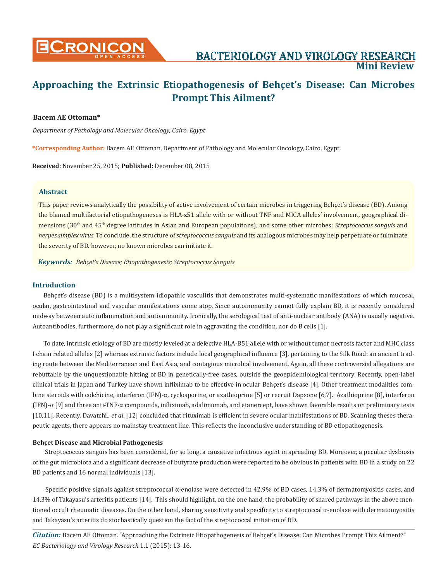# **CRONICON BACTERIOLOGY AND VIROLOGY RESEARCH Mini Review**

## **Approaching the Extrinsic Etiopathogenesis of Behçet's Disease: Can Microbes Prompt This Ailment?**

#### **Bacem AE Ottoman\***

*Department of Pathology and Molecular Oncology, Cairo, Egypt*

**\*Corresponding Author:** Bacem AE Ottoman, Department of Pathology and Molecular Oncology, Cairo, Egypt.

**Received:** November 25, 2015; **Published:** December 08, 2015

#### **Abstract**

This paper reviews analytically the possibility of active involvement of certain microbes in triggering Behçet's disease (BD). Among the blamed multifactorial etiopathogeneses is HLA-z51 allele with or without TNF and MICA alleles' involvement, geographical dimensions (30th and 45th degree latitudes in Asian and European populations), and some other microbes: *Streptococcus sanguis* and *herpes simplex virus.* To conclude, the structure of *streptococcus sanguis* and its analogous microbes may help perpetuate or fulminate the severity of BD. however, no known microbes can initiate it.

*Keywords: Behçet's Disease; Etiopathogenesis; Streptococcus Sanguis*

#### **Introduction**

Behçet's disease (BD) is a multisystem idiopathic vasculitis that demonstrates multi-systematic manifestations of which mucosal, ocular, gastrointestinal and vascular manifestations come atop. Since autoimmunity cannot fully explain BD, it is recently considered midway between auto inflammation and autoimmunity. Ironically, the serological test of anti-nuclear antibody (ANA) is usually negative. Autoantibodies, furthermore, do not play a significant role in aggravating the condition, nor do B cells [1].

To date, intrinsic etiology of BD are mostly leveled at a defective HLA-B51 allele with or without tumor necrosis factor and MHC class I chain related alleles [2] whereas extrinsic factors include local geographical influence [3], pertaining to the Silk Road: an ancient trading route between the Mediterranean and East Asia, and contagious microbial involvement. Again, all these controversial allegations are rebuttable by the unquestionable hitting of BD in genetically-free cases, outside the geoepidemiological territory. Recently, open-label clinical trials in Japan and Turkey have shown infliximab to be effective in ocular Behçet's disease [4]. Other treatment modalities combine steroids with colchicine, interferon (IFN)-α, cyclosporine, or azathioprine [5] or recruit Dapsone [6,7]. Azathioprine [8], interferon (IFN)-α [9] and three anti-TNF-α compounds, infliximab, adalimumab, and etanercept, have shown favorable results on preliminary tests [10,11]. Recently, Davatchi., *et al.* [12] concluded that rituximab is efficient in severe ocular manifestations of BD. Scanning theses therapeutic agents, there appears no mainstay treatment line. This reflects the inconclusive understanding of BD etiopathogenesis.

#### **Behçet Disease and Microbial Pathogenesis**

 Streptococcus sanguis has been considered, for so long, a causative infectious agent in spreading BD. Moreover, a peculiar dysbiosis of the gut microbiota and a significant decrease of butyrate production were reported to be obvious in patients with BD in a study on 22 BD patients and 16 normal individuals [13].

Specific positive signals against streptococcal  $\alpha$ -enolase were detected in 42.9% of BD cases, 14.3% of dermatomyositis cases, and 14.3% of Takayasu's arteritis patients [14]. This should highlight, on the one hand, the probability of shared pathways in the above mentioned occult rheumatic diseases. On the other hand, sharing sensitivity and specificity to streptococcal α-enolase with dermatomyositis and Takayasu's arteritis do stochastically question the fact of the streptococcal initiation of BD.

*Citation:* Bacem AE Ottoman. "Approaching the Extrinsic Etiopathogenesis of Behçet's Disease: Can Microbes Prompt This Ailment?" *EC Bacteriology and Virology Research* 1.1 (2015): 13-16.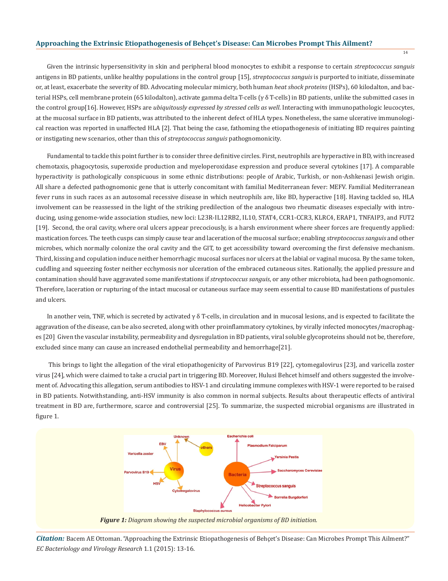#### **Approaching the Extrinsic Etiopathogenesis of Behçet's Disease: Can Microbes Prompt This Ailment?**

Given the intrinsic hypersensitivity in skin and peripheral blood monocytes to exhibit a response to certain *streptococcus sanguis*  antigens in BD patients, unlike healthy populations in the control group [15], *streptococcus sanguis* is purported to initiate, disseminate or, at least, exacerbate the severity of BD. Advocating molecular mimicry, both human *heat shock proteins* (HSPs), 60 kilodalton, and bacterial HSPs, cell membrane protein (65 kilodalton), activate gamma delta T-cells (γ δ T-cells) in BD patients, unlike the submitted cases in the control group[16]. However, HSPs are *ubiquitously expressed by stressed cells as well*. Interacting with immunopathologic leucocytes, at the mucosal surface in BD patients, was attributed to the inherent defect of HLA types. Nonetheless, the same ulcerative immunological reaction was reported in unaffected HLA [2]. That being the case, fathoming the etiopathogenesis of initiating BD requires painting or instigating new scenarios, other than this of *streptococcus sanguis* pathognomonicity.

14

Fundamental to tackle this point further is to consider three definitive circles. First, neutrophils are hyperactive in BD, with increased chemotaxis, phagocytosis, superoxide production and myeloperoxidase expression and produce several cytokines [17]. A comparable hyperactivity is pathologically conspicuous in some ethnic distributions: people of Arabic, Turkish, or non-Ashkenasi Jewish origin. All share a defected pathognomonic gene that is utterly concomitant with familial Mediterranean fever: MEFV. Familial Mediterranean fever runs in such races as an autosomal recessive disease in which neutrophils are, like BD, hyperactive [18]. Having tackled so, HLA involvement can be reassessed in the light of the striking predilection of the analogous two rheumatic diseases especially with introducing, using genome-wide association studies, new loci: L23R-IL12RB2, IL10, STAT4, CCR1-CCR3, KLRC4, ERAP1, TNFAIP3, and FUT2 [19]. Second, the oral cavity, where oral ulcers appear precociously, is a harsh environment where sheer forces are frequently applied: mastication forces. The teeth cusps can simply cause tear and laceration of the mucosal surface; enabling *streptococcus sanguis* and other microbes, which normally colonize the oral cavity and the GIT, to get accessibility toward overcoming the first defensive mechanism. Third, kissing and copulation induce neither hemorrhagic mucosal surfaces nor ulcers at the labial or vaginal mucosa. By the same token, cuddling and squeezing foster neither ecchymosis nor ulceration of the embraced cutaneous sites. Rationally, the applied pressure and contamination should have aggravated some manifestations if *streptococcus sanguis*, or any other microbiota, had been pathognomonic. Therefore, laceration or rupturing of the intact mucosal or cutaneous surface may seem essential to cause BD manifestations of pustules and ulcers.

In another vein, TNF, which is secreted by activated  $\gamma \delta$  T-cells, in circulation and in mucosal lesions, and is expected to facilitate the aggravation of the disease, can be also secreted, along with other proinflammatory cytokines, by virally infected monocytes/macrophages [20] Given the vascular instability, permeability and dysregulation in BD patients, viral soluble glycoproteins should not be, therefore, excluded since many can cause an increased endothelial permeability and hemorrhage[21].

 This brings to light the allegation of the viral etiopathogenicity of Parvovirus B19 [22], cytomegalovirus [23], and varicella zoster virus [24], which were claimed to take a crucial part in triggering BD. Moreover, Hulusi Behcet himself and others suggested the involvement of. Advocating this allegation, serum antibodies to HSV-1 and circulating immune complexes with HSV-1 were reported to be raised in BD patients. Notwithstanding, anti-HSV immunity is also common in normal subjects. Results about therapeutic effects of antiviral treatment in BD are, furthermore, scarce and controversial [25]. To summarize, the suspected microbial organisms are illustrated in figure 1.



*Citation:* Bacem AE Ottoman. "Approaching the Extrinsic Etiopathogenesis of Behçet's Disease: Can Microbes Prompt This Ailment?" *EC Bacteriology and Virology Research* 1.1 (2015): 13-16.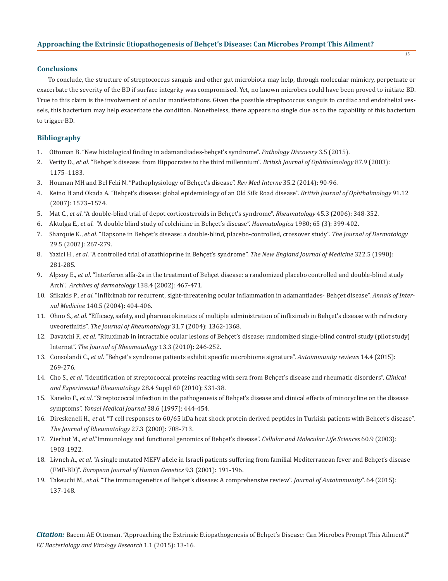#### **Conclusions**

To conclude, the structure of streptococcus sanguis and other gut microbiota may help, through molecular mimicry, perpetuate or exacerbate the severity of the BD if surface integrity was compromised. Yet, no known microbes could have been proved to initiate BD. True to this claim is the involvement of ocular manifestations. Given the possible streptococcus sanguis to cardiac and endothelial vessels, this bacterium may help exacerbate the condition. Nonetheless, there appears no single clue as to the capability of this bacterium to trigger BD.

#### **Bibliography**

- 1. Ottoman B. "New histological finding in adamandiades-behçet's syndrome". *Pathology Discovery* 3.5 (2015).
- 2. Verity D., *et al.* "Behçet's disease: from Hippocrates to the third millennium". *British Journal of Ophthalmology* 87.9 (2003): 1175–1183.
- 3. Houman MH and Bel Feki N. "Pathophysiology of Behçet's disease". *Rev Med Interne* 35.2 (2014): 90-96.
- 4. Keino H and Okada A. "Behçet's disease: global epidemiology of an Old Silk Road disease". *British Journal of Ophthalmology* 91.12 (2007): 1573–1574.
- 5. Mat C., *et al*. "A double-blind trial of depot corticosteroids in Behçet's syndrome". *Rheumatology* 45.3 (2006): 348-352.
- 6. Aktulga E., *et al*. "A double blind study of colchicine in Behçet's disease". *Haematologica* 1980; 65 (3): 399-402.
- 7. Sharquie K., *et al*. "Dapsone in Behçet's disease: a double-blind, placebo-controlled, crossover study". *The Journal of Dermatology* 29.5 (2002): 267-279.
- 8. Yazici H., *et al*. "A controlled trial of azathioprine in Behçet's syndrome". *The New England Journal of Medicine* 322.5 (1990): 281-285.
- 9. Alpsoy E., *et al*. "Interferon alfa-2a in the treatment of Behçet disease: a randomized placebo controlled and double-blind study Arch". *Archives of dermatology* 138.4 (2002): 467-471.
- 10. Sfikakis P., *et al*. "Infliximab for recurrent, sight-threatening ocular inflammation in adamantiades- Behçet disease". *Annals of Inter nal Medicine* 140.5 (2004): 404-406.
- 11. Ohno S., *et al*. "Efficacy, safety, and pharmacokinetics of multiple administration of infliximab in Behçet's disease with refractory uveoretinitis". *The Journal of Rheumatology* 31.7 (2004): 1362-1368.
- 12. Davatchi F., *et al*. "Rituximab in intractable ocular lesions of Behçet's disease; randomized single-blind control study (pilot study) Internat". *The Journal of Rheumatology* 13.3 (2010): 246-252.
- 13. Consolandi C., *et al*. "Behçet's syndrome patients exhibit specific microbiome signature". *Autoimmunity reviews* 14.4 (2015): 269-276.
- 14. Cho S., *et al*. "Identification of streptococcal proteins reacting with sera from Behçet's disease and rheumatic disorders". *Clinical and Experimental Rheumatology* 28.4 Suppl 60 (2010): S31-38.
- 15. Kaneko F., *et al*. "Streptococcal infection in the pathogenesis of Behçet's disease and clinical effects of minocycline on the disease symptoms". *Yonsei Medical Journal* 38.6 (1997): 444-454.
- 16. Direskeneli H., *et al*. "T cell responses to 60/65 kDa heat shock protein derived peptides in Turkish patients with Behcet's disease". *The Journal of Rheumatology* 27.3 (2000): 708-713.
- 17. Zierhut M., *et al*."Immunology and functional genomics of Behçet's disease". *Cellular and Molecular Life Sciences* 60.9 (2003): 1903-1922.
- 18. Livneh A., *et al*. "A single mutated MEFV allele in Israeli patients suffering from familial Mediterranean fever and Behçet's disease (FMF-BD)". *European Journal of Human Genetics* 9.3 (2001): 191-196.
- 19. Takeuchi M., *et al*. "The immunogenetics of Behçet's disease: A comprehensive review". *Journal of Autoimmunity*". 64 (2015): 137-148.

*Citation:* Bacem AE Ottoman. "Approaching the Extrinsic Etiopathogenesis of Behçet's Disease: Can Microbes Prompt This Ailment?" *EC Bacteriology and Virology Research* 1.1 (2015): 13-16.